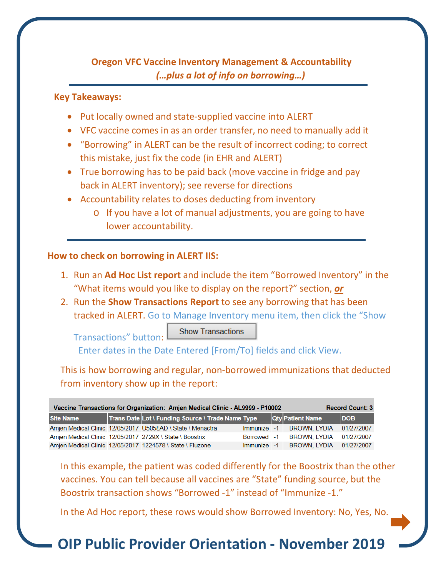# **Oregon VFC Vaccine Inventory Management & Accountability**  *(…plus a lot of info on borrowing…)*

### **Key Takeaways:**

- Put locally owned and state-supplied vaccine into ALERT
- VFC vaccine comes in as an order transfer, no need to manually add it
- "Borrowing" in ALERT can be the result of incorrect coding; to correct this mistake, just fix the code (in EHR and ALERT)
- True borrowing has to be paid back (move vaccine in fridge and pay back in ALERT inventory); see reverse for directions
- Accountability relates to doses deducting from inventory
	- o If you have a lot of manual adjustments, you are going to have lower accountability.

### **How to check on borrowing in ALERT IIS:**

Transactions" button:

- 1. Run an **Ad Hoc List report** and include the item "Borrowed Inventory" in the "What items would you like to display on the report?" section, *or*
- 2. Run the **Show Transactions Report** to see any borrowing that has been tracked in ALERT. Go to Manage Inventory menu item, then click the "Show

**Show Transactions** 

Enter dates in the Date Entered [From/To] fields and click View.

This is how borrowing and regular, non-borrowed immunizations that deducted from inventory show up in the report:

| Vaccine Transactions for Organization: Amjen Medical Clinic - AL9999 - P10002<br><b>Record Count: 3</b> |  |                                                            |             |  |                          |            |
|---------------------------------------------------------------------------------------------------------|--|------------------------------------------------------------|-------------|--|--------------------------|------------|
| <b>Site Name</b>                                                                                        |  | Trans Date Lot \ Funding Source \ Trade Name Type          |             |  | <b>Qty Patient Name</b>  | <b>DOB</b> |
|                                                                                                         |  | Amjen Medical Clinic 12/05/2017 U5058AD \ State \ Menactra | Immunize -1 |  | <b>BROWN, LYDIA</b>      | 01/27/2007 |
|                                                                                                         |  | Amjen Medical Clinic 12/05/2017 2729X \ State \ Boostrix   | Borrowed -1 |  | <b>BROWN, LYDIA</b>      | 01/27/2007 |
|                                                                                                         |  | Amien Medical Clinic 12/05/2017 1224578 \ State \ Fluzone  |             |  | Immunize -1 BROWN, LYDIA | 01/27/2007 |

In this example, the patient was coded differently for the Boostrix than the other vaccines. You can tell because all vaccines are "State" funding source, but the Boostrix transaction shows "Borrowed -1" instead of "Immunize -1."

In the Ad Hoc report, these rows would show Borrowed Inventory: No, Yes, No.

# **OIP Public Provider Orientation - November 2019**